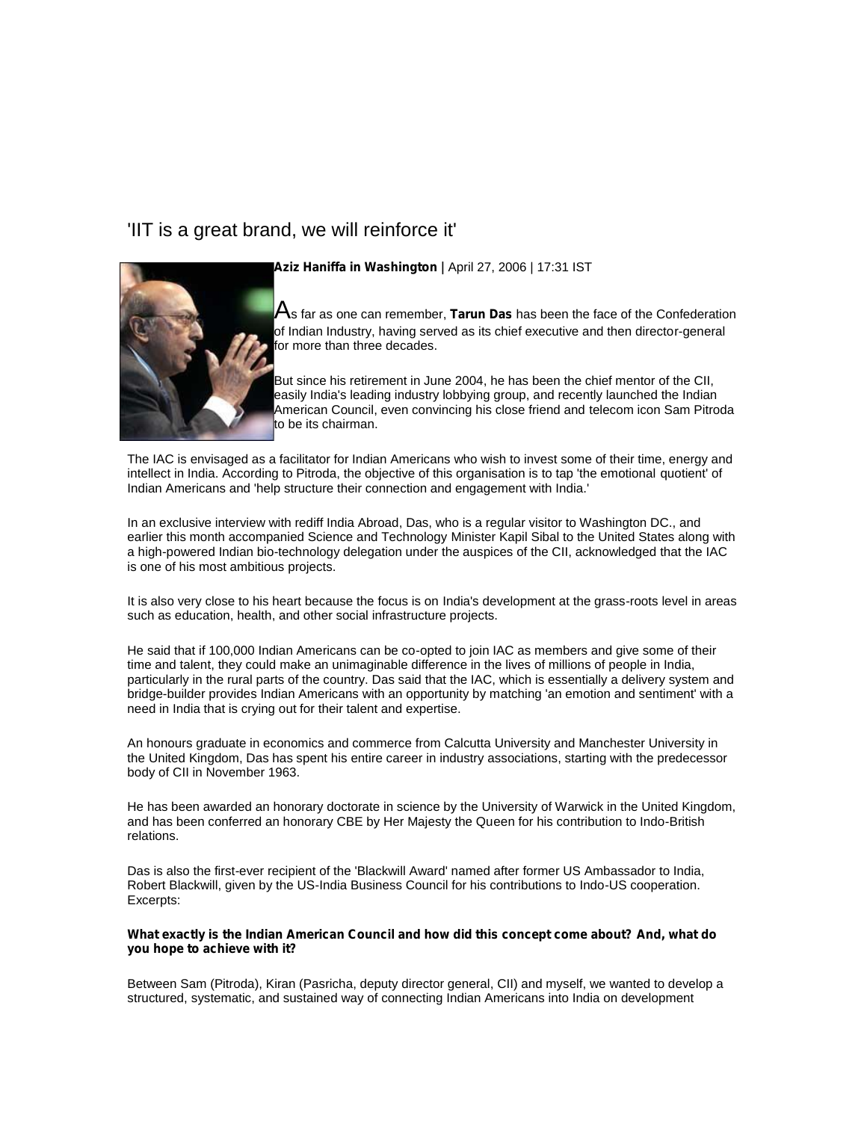# 'IIT is a great brand, we will reinforce it'



# **Aziz Haniffa in Washington |** April 27, 2006 | 17:31 IST

As far as one can remember, **Tarun Das** has been the face of the Confederation of Indian Industry, having served as its chief executive and then director-general for more than three decades.

But since his retirement in June 2004, he has been the chief mentor of the CII, easily India's leading industry lobbying group, and recently launched the Indian American Council, even convincing his close friend and telecom icon Sam Pitroda to be its chairman.

The IAC is envisaged as a facilitator for Indian Americans who wish to invest some of their time, energy and intellect in India. According to Pitroda, the objective of this organisation is to tap 'the emotional quotient' of Indian Americans and 'help structure their connection and engagement with India.'

In an exclusive interview with rediff India Abroad, Das, who is a regular visitor to Washington DC., and earlier this month accompanied Science and Technology Minister Kapil Sibal to the United States along with a high-powered Indian bio-technology delegation under the auspices of the CII, acknowledged that the IAC is one of his most ambitious projects.

It is also very close to his heart because the focus is on India's development at the grass-roots level in areas such as education, health, and other social infrastructure projects.

He said that if 100,000 Indian Americans can be co-opted to join IAC as members and give some of their time and talent, they could make an unimaginable difference in the lives of millions of people in India, particularly in the rural parts of the country. Das said that the IAC, which is essentially a delivery system and bridge-builder provides Indian Americans with an opportunity by matching 'an emotion and sentiment' with a need in India that is crying out for their talent and expertise.

An honours graduate in economics and commerce from Calcutta University and Manchester University in the United Kingdom, Das has spent his entire career in industry associations, starting with the predecessor body of CII in November 1963.

He has been awarded an honorary doctorate in science by the University of Warwick in the United Kingdom, and has been conferred an honorary CBE by Her Majesty the Queen for his contribution to Indo-British relations.

Das is also the first-ever recipient of the 'Blackwill Award' named after former US Ambassador to India, Robert Blackwill, given by the US-India Business Council for his contributions to Indo-US cooperation. Excerpts:

## **What exactly is the Indian American Council and how did this concept come about? And, what do you hope to achieve with it?**

Between Sam (Pitroda), Kiran (Pasricha, deputy director general, CII) and myself, we wanted to develop a structured, systematic, and sustained way of connecting Indian Americans into India on development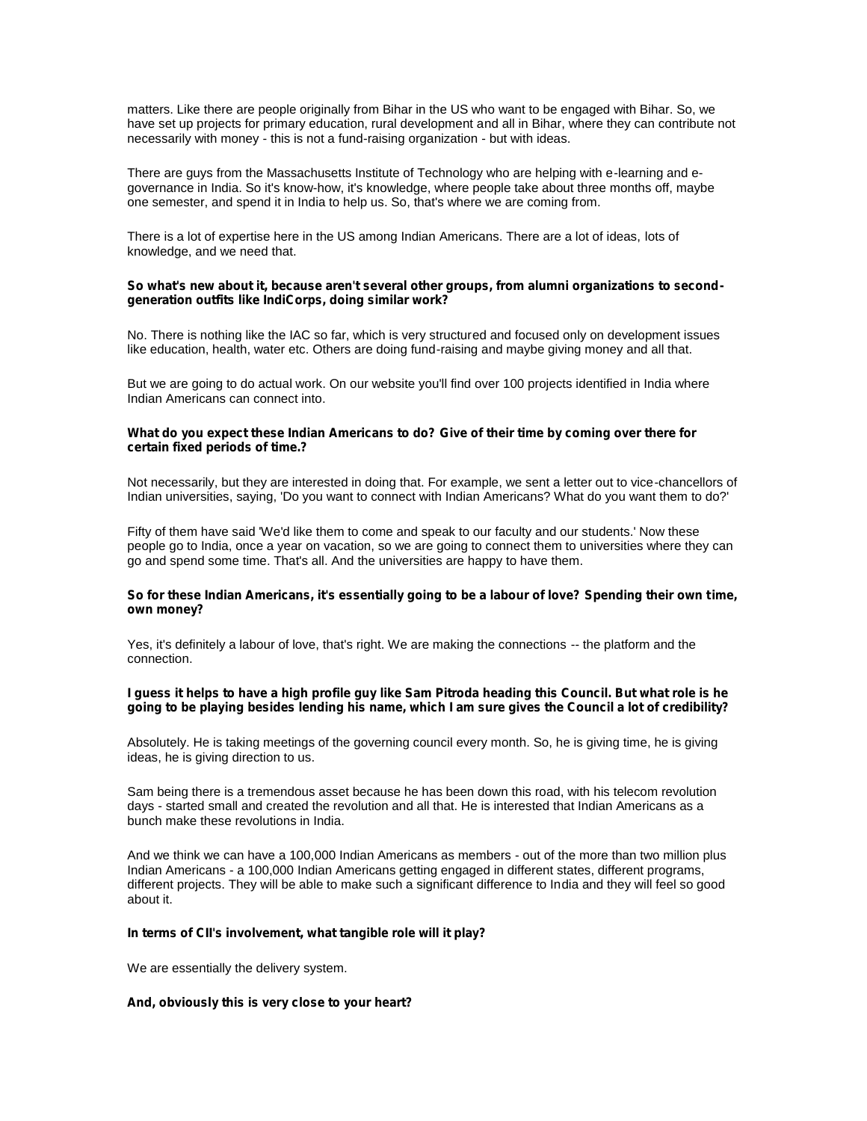matters. Like there are people originally from Bihar in the US who want to be engaged with Bihar. So, we have set up projects for primary education, rural development and all in Bihar, where they can contribute not necessarily with money - this is not a fund-raising organization - but with ideas.

There are guys from the Massachusetts Institute of Technology who are helping with e-learning and e governance in India. So it's know-how, it's knowledge, where people take about three months off, maybe one semester, and spend it in India to help us. So, that's where we are coming from.

There is a lot of expertise here in the US among Indian Americans. There are a lot of ideas, lots of knowledge, and we need that.

## **So what's new about it, because aren't several other groups, from alumni organizations to second generation outfits like IndiCorps, doing similar work?**

No. There is nothing like the IAC so far, which is very structured and focused only on development issues like education, health, water etc. Others are doing fund-raising and maybe giving money and all that.

But we are going to do actual work. On our website you'll find over 100 projects identified in India where Indian Americans can connect into.

## **What do you expect these Indian Americans to do? Give of their time by coming over there for certain fixed periods of time.?**

Not necessarily, but they are interested in doing that. For example, we sent a letter out to vice-chancellors of Indian universities, saying, 'Do you want to connect with Indian Americans? What do you want them to do?'

Fifty of them have said 'We'd like them to come and speak to our faculty and our students.' Now these people go to India, once a year on vacation, so we are going to connect them to universities where they can go and spend some time. That's all. And the universities are happy to have them.

## **So for these Indian Americans, it's essentially going to be a labour of love? Spending their own time, own money?**

Yes, it's definitely a labour of love, that's right. We are making the connections -- the platform and the connection.

# **I guess it helps to have a high profile guy like Sam Pitroda heading this Council. But what role is he going to be playing besides lending his name, which I am sure gives the Council a lot of credibility?**

Absolutely. He is taking meetings of the governing council every month. So, he is giving time, he is giving ideas, he is giving direction to us.

Sam being there is a tremendous asset because he has been down this road, with his telecom revolution days - started small and created the revolution and all that. He is interested that Indian Americans as a bunch make these revolutions in India.

And we think we can have a 100,000 Indian Americans as members - out of the more than two million plus Indian Americans - a 100,000 Indian Americans getting engaged in different states, different programs, different projects. They will be able to make such a significant difference to India and they will feel so good about it.

## **In terms of CII's involvement, what tangible role will it play?**

We are essentially the delivery system.

#### **And, obviously this is very close to your heart?**